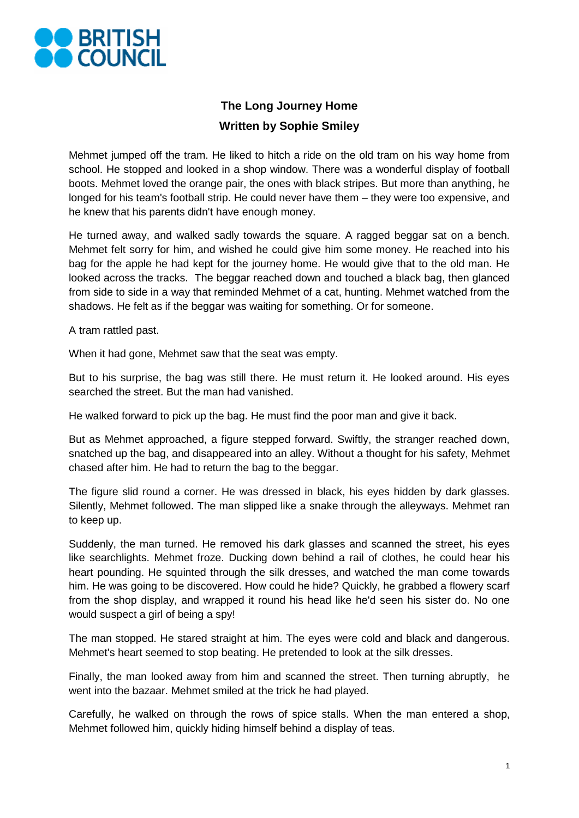

## **The Long Journey Home Written by Sophie Smiley**

Mehmet jumped off the tram. He liked to hitch a ride on the old tram on his way home from school. He stopped and looked in a shop window. There was a wonderful display of football boots. Mehmet loved the orange pair, the ones with black stripes. But more than anything, he longed for his team's football strip. He could never have them – they were too expensive, and he knew that his parents didn't have enough money.

He turned away, and walked sadly towards the square. A ragged beggar sat on a bench. Mehmet felt sorry for him, and wished he could give him some money. He reached into his bag for the apple he had kept for the journey home. He would give that to the old man. He looked across the tracks. The beggar reached down and touched a black bag, then glanced from side to side in a way that reminded Mehmet of a cat, hunting. Mehmet watched from the shadows. He felt as if the beggar was waiting for something. Or for someone.

A tram rattled past.

When it had gone, Mehmet saw that the seat was empty.

But to his surprise, the bag was still there. He must return it. He looked around. His eyes searched the street. But the man had vanished.

He walked forward to pick up the bag. He must find the poor man and give it back.

But as Mehmet approached, a figure stepped forward. Swiftly, the stranger reached down, snatched up the bag, and disappeared into an alley. Without a thought for his safety, Mehmet chased after him. He had to return the bag to the beggar.

The figure slid round a corner. He was dressed in black, his eyes hidden by dark glasses. Silently, Mehmet followed. The man slipped like a snake through the alleyways. Mehmet ran to keep up.

Suddenly, the man turned. He removed his dark glasses and scanned the street, his eyes like searchlights. Mehmet froze. Ducking down behind a rail of clothes, he could hear his heart pounding. He squinted through the silk dresses, and watched the man come towards him. He was going to be discovered. How could he hide? Quickly, he grabbed a flowery scarf from the shop display, and wrapped it round his head like he'd seen his sister do. No one would suspect a girl of being a spy!

The man stopped. He stared straight at him. The eyes were cold and black and dangerous. Mehmet's heart seemed to stop beating. He pretended to look at the silk dresses.

Finally, the man looked away from him and scanned the street. Then turning abruptly, he went into the bazaar. Mehmet smiled at the trick he had played.

Carefully, he walked on through the rows of spice stalls. When the man entered a shop, Mehmet followed him, quickly hiding himself behind a display of teas.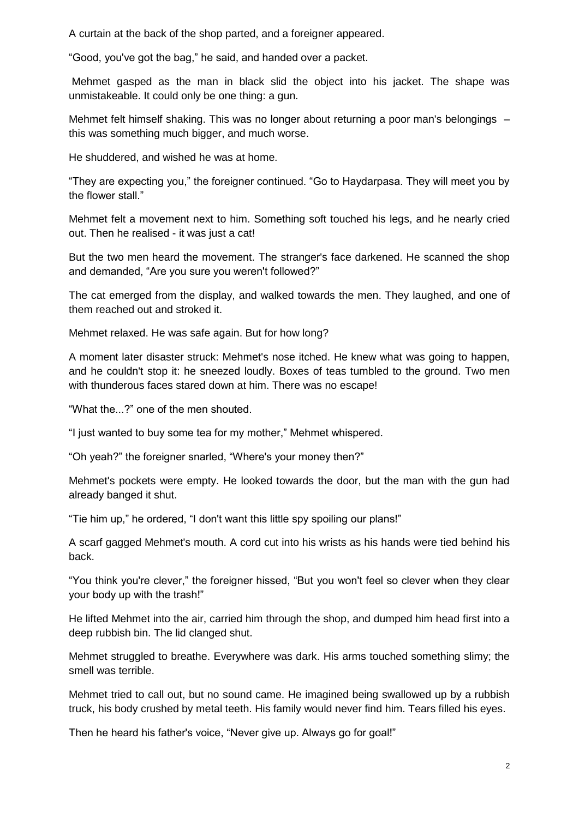A curtain at the back of the shop parted, and a foreigner appeared.

"Good, you've got the bag," he said, and handed over a packet.

Mehmet gasped as the man in black slid the object into his jacket. The shape was unmistakeable. It could only be one thing: a gun.

Mehmet felt himself shaking. This was no longer about returning a poor man's belongings this was something much bigger, and much worse.

He shuddered, and wished he was at home.

"They are expecting you," the foreigner continued. "Go to Haydarpasa. They will meet you by the flower stall."

Mehmet felt a movement next to him. Something soft touched his legs, and he nearly cried out. Then he realised - it was just a cat!

But the two men heard the movement. The stranger's face darkened. He scanned the shop and demanded, "Are you sure you weren't followed?"

The cat emerged from the display, and walked towards the men. They laughed, and one of them reached out and stroked it.

Mehmet relaxed. He was safe again. But for how long?

A moment later disaster struck: Mehmet's nose itched. He knew what was going to happen, and he couldn't stop it: he sneezed loudly. Boxes of teas tumbled to the ground. Two men with thunderous faces stared down at him. There was no escape!

"What the...?" one of the men shouted.

"I just wanted to buy some tea for my mother," Mehmet whispered.

"Oh yeah?" the foreigner snarled, "Where's your money then?"

Mehmet's pockets were empty. He looked towards the door, but the man with the gun had already banged it shut.

"Tie him up," he ordered, "I don't want this little spy spoiling our plans!"

A scarf gagged Mehmet's mouth. A cord cut into his wrists as his hands were tied behind his back.

"You think you're clever," the foreigner hissed, "But you won't feel so clever when they clear your body up with the trash!"

He lifted Mehmet into the air, carried him through the shop, and dumped him head first into a deep rubbish bin. The lid clanged shut.

Mehmet struggled to breathe. Everywhere was dark. His arms touched something slimy; the smell was terrible.

Mehmet tried to call out, but no sound came. He imagined being swallowed up by a rubbish truck, his body crushed by metal teeth. His family would never find him. Tears filled his eyes.

Then he heard his father's voice, "Never give up. Always go for goal!"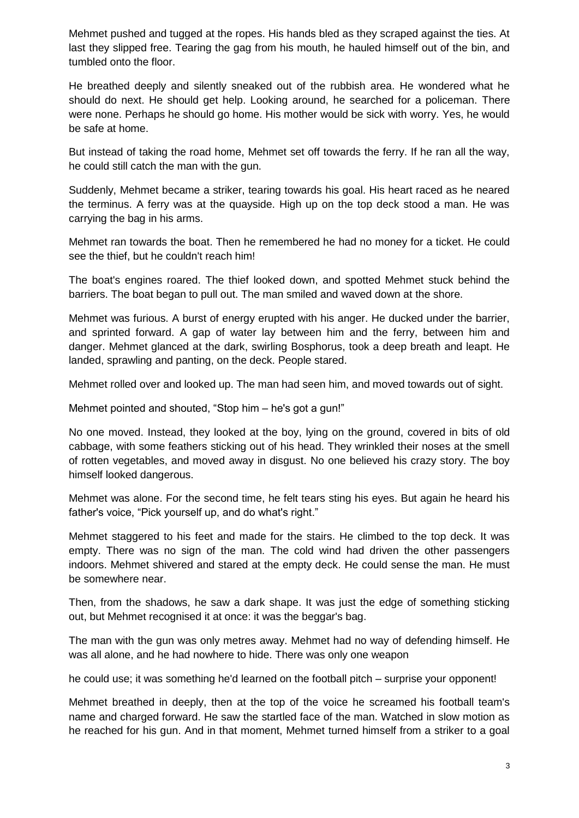Mehmet pushed and tugged at the ropes. His hands bled as they scraped against the ties. At last they slipped free. Tearing the gag from his mouth, he hauled himself out of the bin, and tumbled onto the floor.

He breathed deeply and silently sneaked out of the rubbish area. He wondered what he should do next. He should get help. Looking around, he searched for a policeman. There were none. Perhaps he should go home. His mother would be sick with worry. Yes, he would be safe at home.

But instead of taking the road home, Mehmet set off towards the ferry. If he ran all the way, he could still catch the man with the gun.

Suddenly, Mehmet became a striker, tearing towards his goal. His heart raced as he neared the terminus. A ferry was at the quayside. High up on the top deck stood a man. He was carrying the bag in his arms.

Mehmet ran towards the boat. Then he remembered he had no money for a ticket. He could see the thief, but he couldn't reach him!

The boat's engines roared. The thief looked down, and spotted Mehmet stuck behind the barriers. The boat began to pull out. The man smiled and waved down at the shore.

Mehmet was furious. A burst of energy erupted with his anger. He ducked under the barrier, and sprinted forward. A gap of water lay between him and the ferry, between him and danger. Mehmet glanced at the dark, swirling Bosphorus, took a deep breath and leapt. He landed, sprawling and panting, on the deck. People stared.

Mehmet rolled over and looked up. The man had seen him, and moved towards out of sight.

Mehmet pointed and shouted, "Stop him – he's got a gun!"

No one moved. Instead, they looked at the boy, lying on the ground, covered in bits of old cabbage, with some feathers sticking out of his head. They wrinkled their noses at the smell of rotten vegetables, and moved away in disgust. No one believed his crazy story. The boy himself looked dangerous.

Mehmet was alone. For the second time, he felt tears sting his eyes. But again he heard his father's voice, "Pick yourself up, and do what's right."

Mehmet staggered to his feet and made for the stairs. He climbed to the top deck. It was empty. There was no sign of the man. The cold wind had driven the other passengers indoors. Mehmet shivered and stared at the empty deck. He could sense the man. He must be somewhere near.

Then, from the shadows, he saw a dark shape. It was just the edge of something sticking out, but Mehmet recognised it at once: it was the beggar's bag.

The man with the gun was only metres away. Mehmet had no way of defending himself. He was all alone, and he had nowhere to hide. There was only one weapon

he could use; it was something he'd learned on the football pitch – surprise your opponent!

Mehmet breathed in deeply, then at the top of the voice he screamed his football team's name and charged forward. He saw the startled face of the man. Watched in slow motion as he reached for his gun. And in that moment, Mehmet turned himself from a striker to a goal